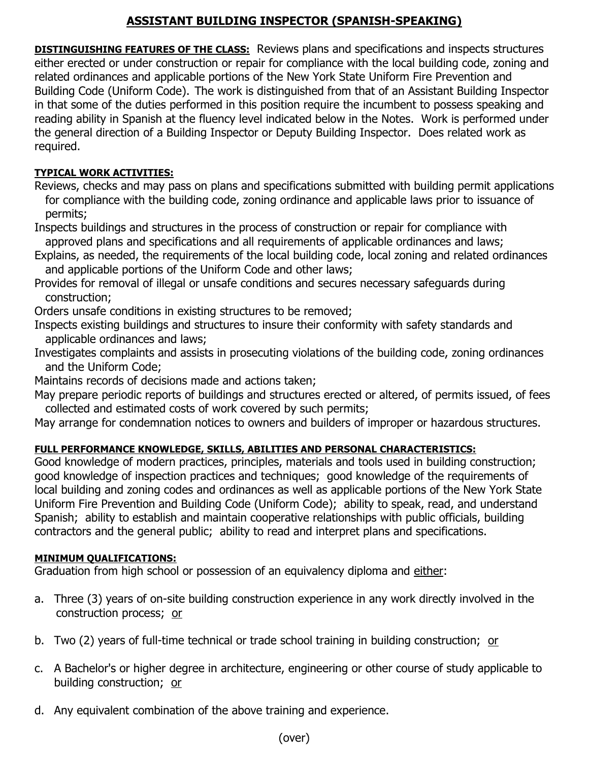## **ASSISTANT BUILDING INSPECTOR (SPANISH-SPEAKING)**

**DISTINGUISHING FEATURES OF THE CLASS:** Reviews plans and specifications and inspects structures either erected or under construction or repair for compliance with the local building code, zoning and related ordinances and applicable portions of the New York State Uniform Fire Prevention and Building Code (Uniform Code). The work is distinguished from that of an Assistant Building Inspector in that some of the duties performed in this position require the incumbent to possess speaking and reading ability in Spanish at the fluency level indicated below in the Notes. Work is performed under the general direction of a Building Inspector or Deputy Building Inspector. Does related work as required.

### **TYPICAL WORK ACTIVITIES:**

Reviews, checks and may pass on plans and specifications submitted with building permit applications for compliance with the building code, zoning ordinance and applicable laws prior to issuance of permits;

Inspects buildings and structures in the process of construction or repair for compliance with approved plans and specifications and all requirements of applicable ordinances and laws;

- Explains, as needed, the requirements of the local building code, local zoning and related ordinances and applicable portions of the Uniform Code and other laws;
- Provides for removal of illegal or unsafe conditions and secures necessary safeguards during construction;

Orders unsafe conditions in existing structures to be removed;

- Inspects existing buildings and structures to insure their conformity with safety standards and applicable ordinances and laws;
- Investigates complaints and assists in prosecuting violations of the building code, zoning ordinances and the Uniform Code;

Maintains records of decisions made and actions taken;

May prepare periodic reports of buildings and structures erected or altered, of permits issued, of fees collected and estimated costs of work covered by such permits;

May arrange for condemnation notices to owners and builders of improper or hazardous structures.

## **FULL PERFORMANCE KNOWLEDGE, SKILLS, ABILITIES AND PERSONAL CHARACTERISTICS:**

Good knowledge of modern practices, principles, materials and tools used in building construction; good knowledge of inspection practices and techniques; good knowledge of the requirements of local building and zoning codes and ordinances as well as applicable portions of the New York State Uniform Fire Prevention and Building Code (Uniform Code); ability to speak, read, and understand Spanish; ability to establish and maintain cooperative relationships with public officials, building contractors and the general public; ability to read and interpret plans and specifications.

### **MINIMUM QUALIFICATIONS:**

Graduation from high school or possession of an equivalency diploma and either:

- a. Three (3) years of on-site building construction experience in any work directly involved in the construction process; or
- b. Two (2) years of full-time technical or trade school training in building construction; or
- c. A Bachelor's or higher degree in architecture, engineering or other course of study applicable to building construction; or
- d. Any equivalent combination of the above training and experience.